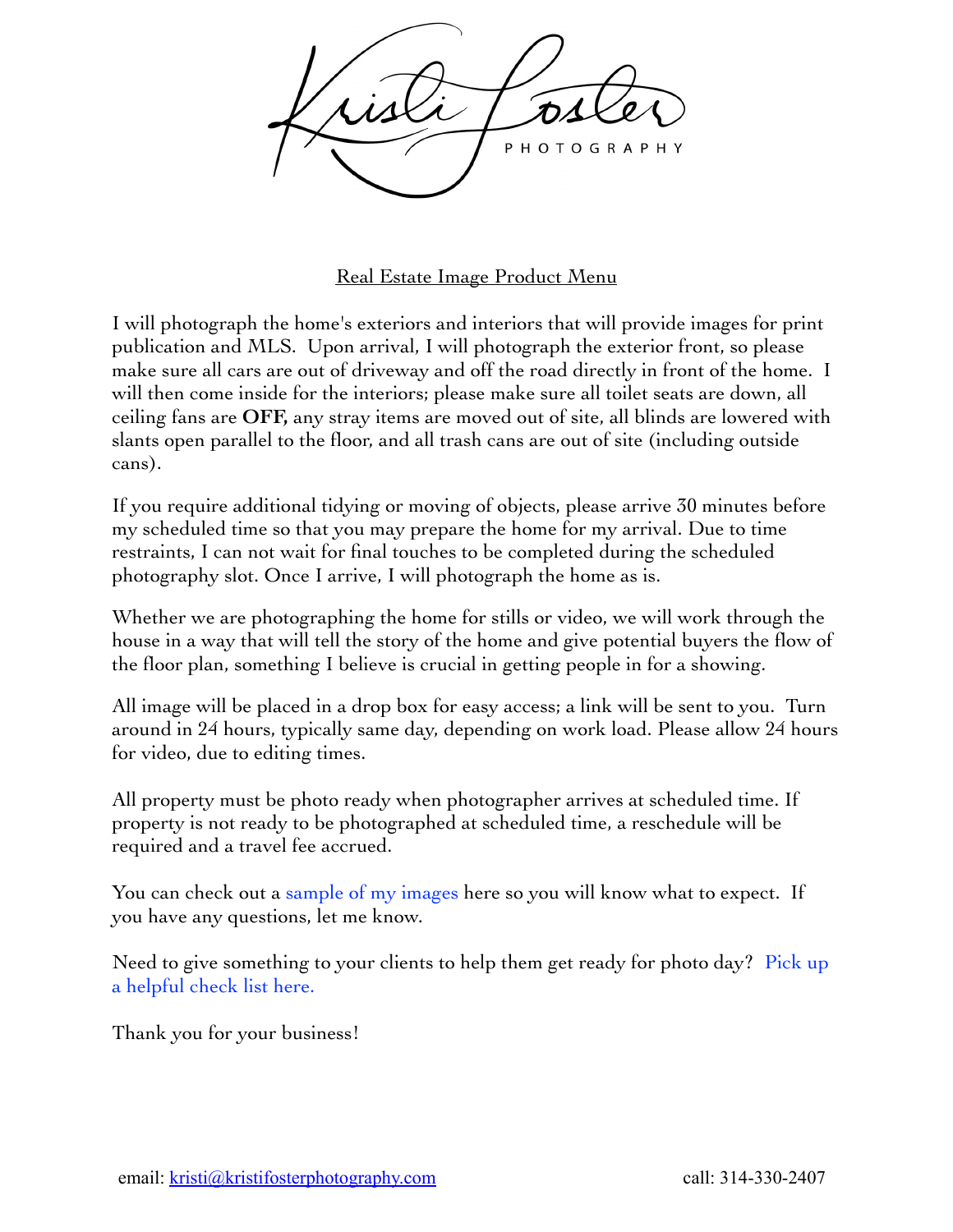

## Real Estate Image Product Menu

I will photograph the home's exteriors and interiors that will provide images for print publication and MLS. Upon arrival, I will photograph the exterior front, so please make sure all cars are out of driveway and off the road directly in front of the home. I will then come inside for the interiors; please make sure all toilet seats are down, all ceiling fans are **OFF,** any stray items are moved out of site, all blinds are lowered with slants open parallel to the floor, and all trash cans are out of site (including outside cans).

If you require additional tidying or moving of objects, please arrive 30 minutes before my scheduled time so that you may prepare the home for my arrival. Due to time restraints, I can not wait for final touches to be completed during the scheduled photography slot. Once I arrive, I will photograph the home as is.

Whether we are photographing the home for stills or video, we will work through the house in a way that will tell the story of the home and give potential buyers the flow of the floor plan, something I believe is crucial in getting people in for a showing.

All image will be placed in a drop box for easy access; a link will be sent to you. Turn around in 24 hours, typically same day, depending on work load. Please allow 24 hours for video, due to editing times.

All property must be photo ready when photographer arrives at scheduled time. If property is not ready to be photographed at scheduled time, a reschedule will be required and a travel fee accrued.

You can check out a [sample of my images](https://www.youtube.com/channel/UC95qPPMoy17cacX-2r9b6HA/videos?view_as=subscriber) here so you will know what to expect. If you have any questions, let me know.

Need to give something to your clients to help them get ready for photo day? [Pick up](https://kristifosterphotography.files.wordpress.com/2019/05/preparring-your-home.pdf)  [a helpful check list here.](https://kristifosterphotography.files.wordpress.com/2019/05/preparring-your-home.pdf)

Thank you for your business!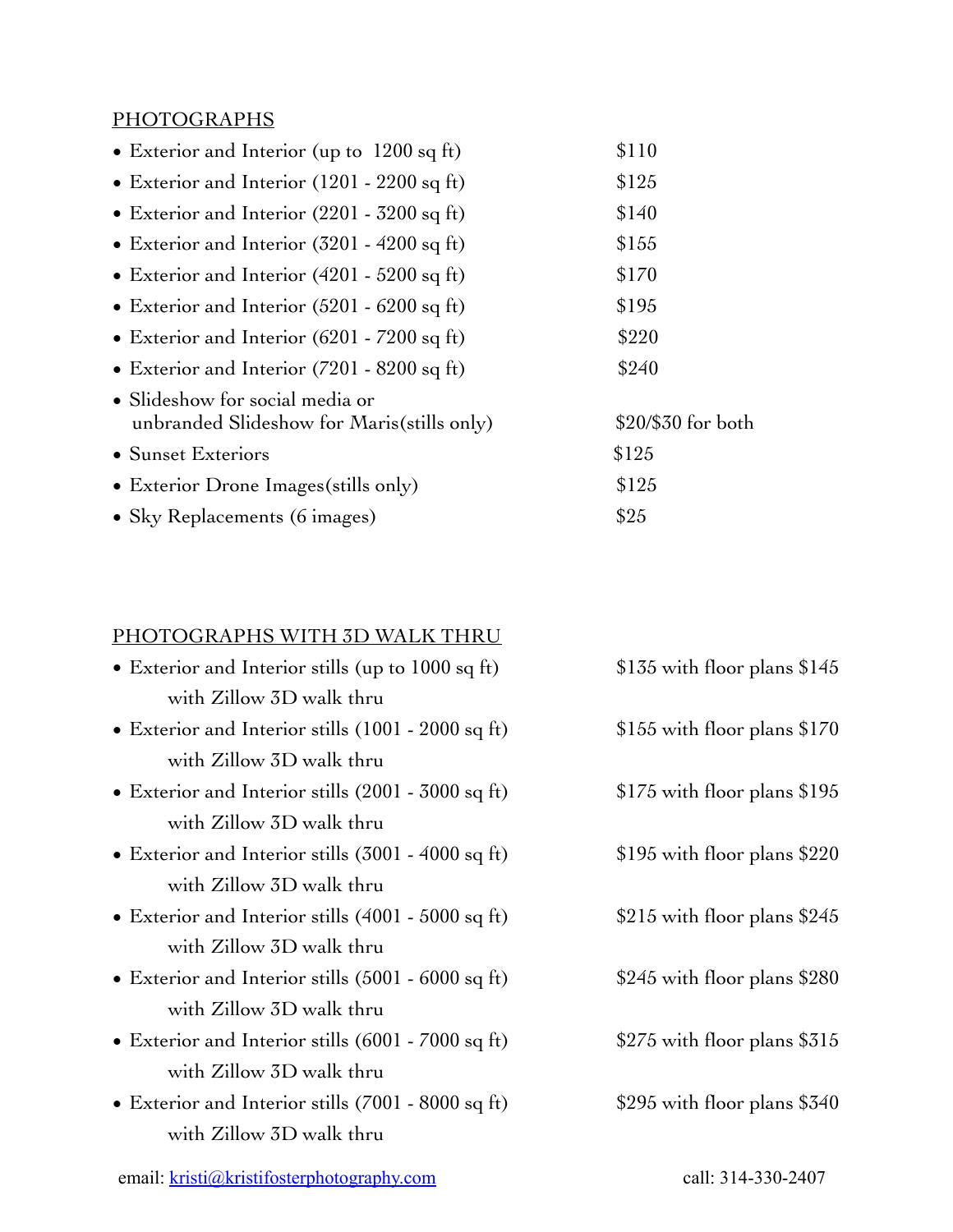## **PHOTOGRAPHS**

| • Exterior and Interior (up to 1200 sq ft)                                     | \$110              |
|--------------------------------------------------------------------------------|--------------------|
| • Exterior and Interior $(1201 - 2200)$ sq ft)                                 | \$125              |
| • Exterior and Interior $(2201 - 3200 \text{ sq ft})$                          | \$140              |
| • Exterior and Interior $(3201 - 4200 \text{ sq ft})$                          | \$155              |
| • Exterior and Interior $(4201 - 5200)$ sq ft)                                 | \$170              |
| • Exterior and Interior $(5201 - 6200 \text{ sq ft})$                          | \$195              |
| • Exterior and Interior $(6201 - 7200 \text{ sq ft})$                          | \$220              |
| • Exterior and Interior $(7201 - 8200 \text{ sq ft})$                          | \$240              |
| • Slideshow for social media or<br>unbranded Slideshow for Maris (stills only) | \$20/\$30 for both |
| • Sunset Exteriors                                                             | \$125              |
| • Exterior Drone Images (stills only)                                          | \$125              |
| • Sky Replacements (6 images)                                                  | \$25               |
|                                                                                |                    |

## PHOTOGRAPHS WITH 3D WALK THRU

| • Exterior and Interior stills (up to 1000 sq ft)            | $$135$ with floor plans $$145$ |
|--------------------------------------------------------------|--------------------------------|
| with Zillow 3D walk thru                                     |                                |
| • Exterior and Interior stills $(1001 - 2000 \text{ sq ft})$ | $$155$ with floor plans $$170$ |
| with Zillow 3D walk thru                                     |                                |
| • Exterior and Interior stills (2001 - 3000 sq ft)           | $$175$ with floor plans $$195$ |
| with Zillow 3D walk thru                                     |                                |
| • Exterior and Interior stills $(3001 - 4000 \text{ sq ft})$ | \$195 with floor plans \$220   |
| with Zillow 3D walk thru                                     |                                |
| • Exterior and Interior stills $(4001 - 5000 \text{ sq ft})$ | \$215 with floor plans $$245$  |
| with Zillow 3D walk thru                                     |                                |
| • Exterior and Interior stills $(5001 - 6000 \text{ sq ft})$ | \$245 with floor plans $$280$  |
| with Zillow 3D walk thru                                     |                                |
| • Exterior and Interior stills $(6001 - 7000 \text{ sq ft})$ | \$275 with floor plans \$315   |
| with Zillow 3D walk thru                                     |                                |
| • Exterior and Interior stills $(7001 - 8000 \text{ sq ft})$ | \$295 with floor plans $$340$  |
| with Zillow 3D walk thru                                     |                                |
|                                                              |                                |

email: [kristi@kristifosterphotography.com](mailto:kristi@kristifosterphotography.com) call: 314-330-2407